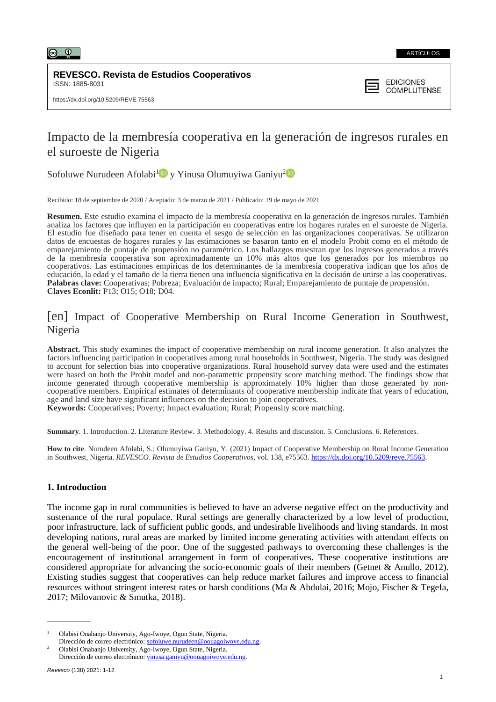

#### ARTÍCULOS

**REVESCO. Revista de Estudios Cooperativos** ISSN: 1885-8031



# Impacto de la membresía cooperativa en la generación de ingresos rurales en el suroeste de Nigeria

Sofoluwe Nurudeen Afolabi<sup>[1](https://orcid.org/0000-0003-2566-4340)</sup><sup>D</sup> y Yinusa Olumuyiwa Ganiyu<sup>[2](https://orcid.org/0000-0003-1005-2341)</sup>

Recibido: 18 de septiembre de 2020 / Aceptado: 3 de marzo de 2021 / Publicado: 19 de mayo de 2021

**Resumen.** Este estudio examina el impacto de la membresía cooperativa en la generación de ingresos rurales. También analiza los factores que influyen en la participación en cooperativas entre los hogares rurales en el suroeste de Nigeria. El estudio fue diseñado para tener en cuenta el sesgo de selección en las organizaciones cooperativas. Se utilizaron datos de encuestas de hogares rurales y las estimaciones se basaron tanto en el modelo Probit como en el método de emparejamiento de puntaje de propensión no paramétrico. Los hallazgos muestran que los ingresos generados a través de la membresía cooperativa son aproximadamente un 10% más altos que los generados por los miembros no cooperativos. Las estimaciones empíricas de los determinantes de la membresía cooperativa indican que los años de educación, la edad y el tamaño de la tierra tienen una influencia significativa en la decisión de unirse a las cooperativas. **Palabras clave:** Cooperativas; Pobreza; Evaluación de impacto; Rural; Emparejamiento de puntaje de propensión. **Claves Econlit:** P13; O15; O18; D04*.*

# [en] Impact of Cooperative Membership on Rural Income Generation in Southwest, Nigeria

**Abstract.** This study examines the impact of cooperative membership on rural income generation. It also analyzes the factors influencing participation in cooperatives among rural households in Southwest, Nigeria. The study was designed to account for selection bias into cooperative organizations. Rural household survey data were used and the estimates were based on both the Probit model and non-parametric propensity score matching method. The findings show that income generated through cooperative membership is approximately 10% higher than those generated by noncooperative members. Empirical estimates of determinants of cooperative membership indicate that years of education, age and land size have significant influences on the decision to join cooperatives.

**Keywords:** Cooperatives; Poverty; Impact evaluation; Rural; Propensity score matching.

**Summary**. 1. Introduction. 2. Literature Review. 3. Methodology. 4. Results and discussion. 5. Conclusions. 6. References.

**How to cite**. Nurudeen Afolabi, S.; Olumuyiwa Ganiyu, Y. (2021) Impact of Cooperative Membership on Rural Income Generation in Southwest, Nigeria. *REVESCO. Revista de Estudios Cooperativos*, vol. 138, e75563. [https://dx.doi.org/10.5209/reve.75563.](https://dx.doi.org/10.5209/reve.75563)

# **1. Introduction**

The income gap in rural communities is believed to have an adverse negative effect on the productivity and sustenance of the rural populace. Rural settings are generally characterized by a low level of production, poor infrastructure, lack of sufficient public goods, and undesirable livelihoods and living standards. In most developing nations, rural areas are marked by limited income generating activities with attendant effects on the general well-being of the poor. One of the suggested pathways to overcoming these challenges is the encouragement of institutional arrangement in form of cooperatives. These cooperative institutions are considered appropriate for advancing the socio-economic goals of their members (Getnet & Anullo, 2012). Existing studies suggest that cooperatives can help reduce market failures and improve access to financial resources without stringent interest rates or harsh conditions (Ma & Abdulai, 2016; Mojo, Fischer & Tegefa, 2017; Milovanovic & Smutka, 2018).

 $\overline{\phantom{a}}$ 

<sup>1</sup> Olabisi Onabanjo University, Ago-Iwoye, Ogun State, Nigeria.

Dirección de correo electrónico: [sofoluwe.nurudeen@oouagoiwoye.edu.ng.](mailto:sofoluwe.nurudeen@oouagoiwoye.edu.ng)

<sup>2</sup> Olabisi Onabanjo University, Ago-Iwoye, Ogun State, Nigeria. Dirección de correo electrónico: [yinusa.ganiyu@oouagoiwoye.edu.ng.](mailto:yinusa.ganiyu@oouagoiwoye.edu.ng)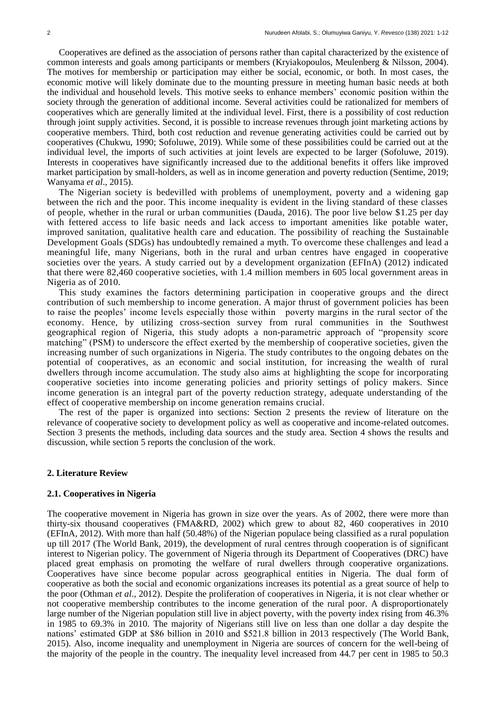Cooperatives are defined as the association of persons rather than capital characterized by the existence of common interests and goals among participants or members (Kryiakopoulos, Meulenberg & Nilsson, 2004). The motives for membership or participation may either be social, economic, or both. In most cases, the economic motive will likely dominate due to the mounting pressure in meeting human basic needs at both the individual and household levels. This motive seeks to enhance members' economic position within the society through the generation of additional income. Several activities could be rationalized for members of cooperatives which are generally limited at the individual level. First, there is a possibility of cost reduction through joint supply activities. Second, it is possible to increase revenues through joint marketing actions by cooperative members. Third, both cost reduction and revenue generating activities could be carried out by cooperatives (Chukwu, 1990; Sofoluwe, 2019). While some of these possibilities could be carried out at the individual level, the imports of such activities at joint levels are expected to be larger (Sofoluwe, 2019). Interests in cooperatives have significantly increased due to the additional benefits it offers like improved market participation by small-holders, as well as in income generation and poverty reduction (Sentime, 2019; Wanyama *et al*., 2015).

The Nigerian society is bedevilled with problems of unemployment, poverty and a widening gap between the rich and the poor. This income inequality is evident in the living standard of these classes of people, whether in the rural or urban communities (Dauda, 2016). The poor live below \$1.25 per day with fettered access to life basic needs and lack access to important amenities like potable water, improved sanitation, qualitative health care and education. The possibility of reaching the Sustainable Development Goals (SDGs) has undoubtedly remained a myth. To overcome these challenges and lead a meaningful life, many Nigerians, both in the rural and urban centres have engaged in cooperative societies over the years. A study carried out by a development organization (EFInA) (2012) indicated that there were 82,460 cooperative societies, with 1.4 million members in 605 local government areas in Nigeria as of 2010.

This study examines the factors determining participation in cooperative groups and the direct contribution of such membership to income generation. A major thrust of government policies has been to raise the peoples' income levels especially those within poverty margins in the rural sector of the economy. Hence, by utilizing cross-section survey from rural communities in the Southwest geographical region of Nigeria, this study adopts a non-parametric approach of "propensity score matching" (PSM) to underscore the effect exerted by the membership of cooperative societies, given the increasing number of such organizations in Nigeria. The study contributes to the ongoing debates on the potential of cooperatives, as an economic and social institution, for increasing the wealth of rural dwellers through income accumulation. The study also aims at highlighting the scope for incorporating cooperative societies into income generating policies and priority settings of policy makers. Since income generation is an integral part of the poverty reduction strategy, adequate understanding of the effect of cooperative membership on income generation remains crucial.

The rest of the paper is organized into sections: Section 2 presents the review of literature on the relevance of cooperative society to development policy as well as cooperative and income-related outcomes. Section 3 presents the methods, including data sources and the study area. Section 4 shows the results and discussion, while section 5 reports the conclusion of the work.

# **2. Literature Review**

#### **2.1. Cooperatives in Nigeria**

The cooperative movement in Nigeria has grown in size over the years. As of 2002, there were more than thirty-six thousand cooperatives (FMA&RD, 2002) which grew to about 82, 460 cooperatives in 2010 (EFInA, 2012). With more than half (50.48%) of the Nigerian populace being classified as a rural population up till 2017 (The World Bank, 2019), the development of rural centres through cooperation is of significant interest to Nigerian policy. The government of Nigeria through its Department of Cooperatives (DRC) have placed great emphasis on promoting the welfare of rural dwellers through cooperative organizations. Cooperatives have since become popular across geographical entities in Nigeria. The dual form of cooperative as both the social and economic organizations increases its potential as a great source of help to the poor (Othman *et al*., 2012). Despite the proliferation of cooperatives in Nigeria, it is not clear whether or not cooperative membership contributes to the income generation of the rural poor. A disproportionately large number of the Nigerian population still live in abject poverty, with the poverty index rising from 46.3% in 1985 to 69.3% in 2010. The majority of Nigerians still live on less than one dollar a day despite the nations' estimated GDP at \$86 billion in 2010 and \$521.8 billion in 2013 respectively (The World Bank, 2015). Also, income inequality and unemployment in Nigeria are sources of concern for the well-being of the majority of the people in the country. The inequality level increased from 44.7 per cent in 1985 to 50.3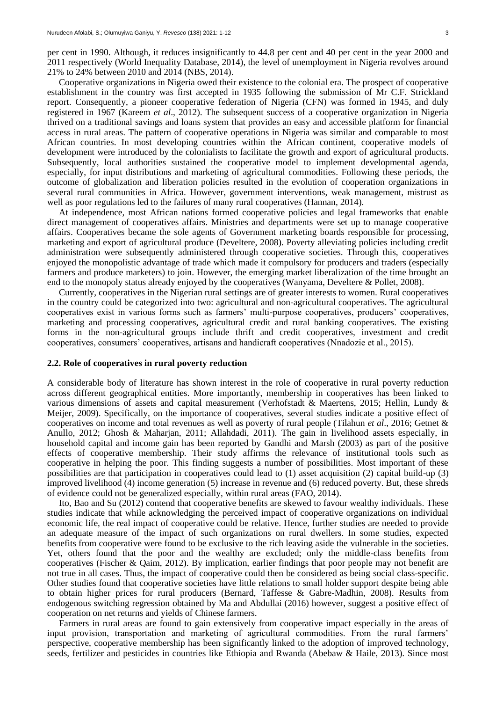per cent in 1990. Although, it reduces insignificantly to 44.8 per cent and 40 per cent in the year 2000 and 2011 respectively (World Inequality Database, 2014), the level of unemployment in Nigeria revolves around 21% to 24% between 2010 and 2014 (NBS, 2014).

Cooperative organizations in Nigeria owed their existence to the colonial era. The prospect of cooperative establishment in the country was first accepted in 1935 following the submission of Mr C.F. Strickland report. Consequently, a pioneer cooperative federation of Nigeria (CFN) was formed in 1945, and duly registered in 1967 (Kareem *et al*., 2012). The subsequent success of a cooperative organization in Nigeria thrived on a traditional savings and loans system that provides an easy and accessible platform for financial access in rural areas. The pattern of cooperative operations in Nigeria was similar and comparable to most African countries. In most developing countries within the African continent, cooperative models of development were introduced by the colonialists to facilitate the growth and export of agricultural products. Subsequently, local authorities sustained the cooperative model to implement developmental agenda, especially, for input distributions and marketing of agricultural commodities. Following these periods, the outcome of globalization and liberation policies resulted in the evolution of cooperation organizations in several rural communities in Africa. However, government interventions, weak management, mistrust as well as poor regulations led to the failures of many rural cooperatives (Hannan, 2014).

At independence, most African nations formed cooperative policies and legal frameworks that enable direct management of cooperatives affairs. Ministries and departments were set up to manage cooperative affairs. Cooperatives became the sole agents of Government marketing boards responsible for processing, marketing and export of agricultural produce (Develtere, 2008). Poverty alleviating policies including credit administration were subsequently administered through cooperative societies. Through this, cooperatives enjoyed the monopolistic advantage of trade which made it compulsory for producers and traders (especially farmers and produce marketers) to join. However, the emerging market liberalization of the time brought an end to the monopoly status already enjoyed by the cooperatives (Wanyama, Develtere & Pollet, 2008).

Currently, cooperatives in the Nigerian rural settings are of greater interests to women. Rural cooperatives in the country could be categorized into two: agricultural and non-agricultural cooperatives. The agricultural cooperatives exist in various forms such as farmers' multi-purpose cooperatives, producers' cooperatives, marketing and processing cooperatives, agricultural credit and rural banking cooperatives. The existing forms in the non-agricultural groups include thrift and credit cooperatives, investment and credit cooperatives, consumers' cooperatives, artisans and handicraft cooperatives (Nnadozie et al., 2015).

## **2.2. Role of cooperatives in rural poverty reduction**

A considerable body of literature has shown interest in the role of cooperative in rural poverty reduction across different geographical entities. More importantly, membership in cooperatives has been linked to various dimensions of assets and capital measurement (Verhofstadt & Maertens, 2015; Hellin, Lundy & Meijer, 2009). Specifically, on the importance of cooperatives, several studies indicate a positive effect of cooperatives on income and total revenues as well as poverty of rural people (Tilahun *et al*., 2016; Getnet & Anullo, 2012; Ghosh & Maharjan, 2011; Allahdadi, 2011). The gain in livelihood assets especially, in household capital and income gain has been reported by Gandhi and Marsh (2003) as part of the positive effects of cooperative membership. Their study affirms the relevance of institutional tools such as cooperative in helping the poor. This finding suggests a number of possibilities. Most important of these possibilities are that participation in cooperatives could lead to (1) asset acquisition (2) capital build-up (3) improved livelihood (4) income generation (5) increase in revenue and (6) reduced poverty. But, these shreds of evidence could not be generalized especially, within rural areas (FAO, 2014).

Ito, Bao and Su (2012) contend that cooperative benefits are skewed to favour wealthy individuals. These studies indicate that while acknowledging the perceived impact of cooperative organizations on individual economic life, the real impact of cooperative could be relative. Hence, further studies are needed to provide an adequate measure of the impact of such organizations on rural dwellers. In some studies, expected benefits from cooperative were found to be exclusive to the rich leaving aside the vulnerable in the societies. Yet, others found that the poor and the wealthy are excluded; only the middle-class benefits from cooperatives (Fischer & Qaim, 2012). By implication, earlier findings that poor people may not benefit are not true in all cases. Thus, the impact of cooperative could then be considered as being social class-specific. Other studies found that cooperative societies have little relations to small holder support despite being able to obtain higher prices for rural producers (Bernard, Taffesse & Gabre-Madhin, 2008). Results from endogenous switching regression obtained by Ma and Abdullai (2016) however, suggest a positive effect of cooperation on net returns and yields of Chinese farmers.

Farmers in rural areas are found to gain extensively from cooperative impact especially in the areas of input provision, transportation and marketing of agricultural commodities. From the rural farmers' perspective, cooperative membership has been significantly linked to the adoption of improved technology, seeds, fertilizer and pesticides in countries like Ethiopia and Rwanda (Abebaw & Haile, 2013). Since most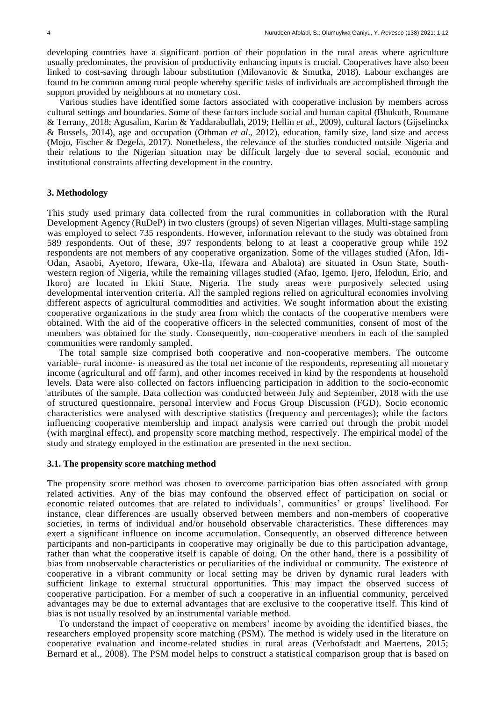developing countries have a significant portion of their population in the rural areas where agriculture usually predominates, the provision of productivity enhancing inputs is crucial. Cooperatives have also been linked to cost-saving through labour substitution (Milovanovic & Smutka, 2018). Labour exchanges are found to be common among rural people whereby specific tasks of individuals are accomplished through the support provided by neighbours at no monetary cost.

Various studies have identified some factors associated with cooperative inclusion by members across cultural settings and boundaries. Some of these factors include social and human capital (Bhukuth, Roumane & Terrany, 2018; Agusalim, Karim & Yaddarabullah, 2019; Hellin *et al*., 2009), cultural factors (Gijselinckx & Bussels, 2014), age and occupation (Othman *et al*., 2012), education, family size, land size and access (Mojo, Fischer & Degefa, 2017). Nonetheless, the relevance of the studies conducted outside Nigeria and their relations to the Nigerian situation may be difficult largely due to several social, economic and institutional constraints affecting development in the country.

## **3. Methodology**

This study used primary data collected from the rural communities in collaboration with the Rural Development Agency (RuDeP) in two clusters (groups) of seven Nigerian villages. Multi-stage sampling was employed to select 735 respondents. However, information relevant to the study was obtained from 589 respondents. Out of these, 397 respondents belong to at least a cooperative group while 192 respondents are not members of any cooperative organization. Some of the villages studied (Afon, Idi-Odan, Asaobi, Ayetoro, Ifewara, Oke-Ila, Ifewara and Abalota) are situated in Osun State, Southwestern region of Nigeria, while the remaining villages studied (Afao, Igemo, Ijero, Ifelodun, Erio, and Ikoro) are located in Ekiti State, Nigeria. The study areas were purposively selected using developmental intervention criteria. All the sampled regions relied on agricultural economies involving different aspects of agricultural commodities and activities. We sought information about the existing cooperative organizations in the study area from which the contacts of the cooperative members were obtained. With the aid of the cooperative officers in the selected communities, consent of most of the members was obtained for the study. Consequently, non-cooperative members in each of the sampled communities were randomly sampled.

The total sample size comprised both cooperative and non-cooperative members. The outcome variable- rural income- is measured as the total net income of the respondents, representing all monetary income (agricultural and off farm), and other incomes received in kind by the respondents at household levels. Data were also collected on factors influencing participation in addition to the socio-economic attributes of the sample. Data collection was conducted between July and September, 2018 with the use of structured questionnaire, personal interview and Focus Group Discussion (FGD). Socio economic characteristics were analysed with descriptive statistics (frequency and percentages); while the factors influencing cooperative membership and impact analysis were carried out through the probit model (with marginal effect), and propensity score matching method, respectively. The empirical model of the study and strategy employed in the estimation are presented in the next section.

# **3.1. The propensity score matching method**

The propensity score method was chosen to overcome participation bias often associated with group related activities. Any of the bias may confound the observed effect of participation on social or economic related outcomes that are related to individuals', communities' or groups' livelihood. For instance, clear differences are usually observed between members and non-members of cooperative societies, in terms of individual and/or household observable characteristics. These differences may exert a significant influence on income accumulation. Consequently, an observed difference between participants and non-participants in cooperative may originally be due to this participation advantage, rather than what the cooperative itself is capable of doing. On the other hand, there is a possibility of bias from unobservable characteristics or peculiarities of the individual or community. The existence of cooperative in a vibrant community or local setting may be driven by dynamic rural leaders with sufficient linkage to external structural opportunities. This may impact the observed success of cooperative participation. For a member of such a cooperative in an influential community, perceived advantages may be due to external advantages that are exclusive to the cooperative itself. This kind of bias is not usually resolved by an instrumental variable method.

To understand the impact of cooperative on members' income by avoiding the identified biases, the researchers employed propensity score matching (PSM). The method is widely used in the literature on cooperative evaluation and income-related studies in rural areas (Verhofstadt and Maertens, 2015; Bernard et al., 2008). The PSM model helps to construct a statistical comparison group that is based on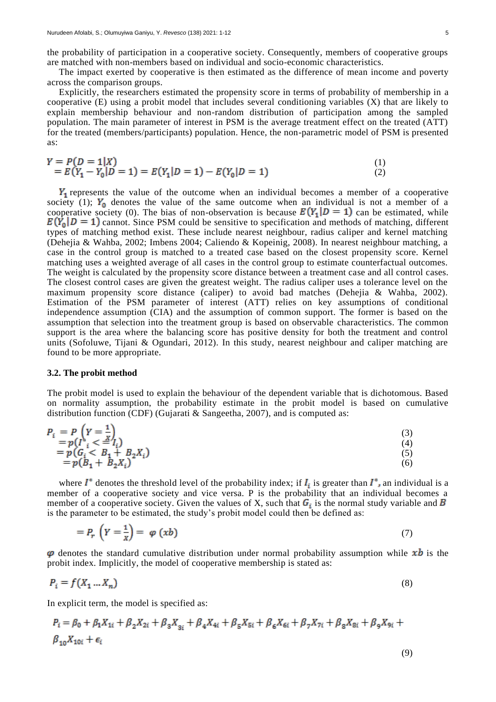The impact exerted by cooperative is then estimated as the difference of mean income and poverty across the comparison groups.

Explicitly, the researchers estimated the propensity score in terms of probability of membership in a cooperative (E) using a probit model that includes several conditioning variables (X) that are likely to explain membership behaviour and non-random distribution of participation among the sampled population. The main parameter of interest in PSM is the average treatment effect on the treated (ATT) for the treated (members/participants) population. Hence, the non-parametric model of PSM is presented as:

$$
Y = P(D = 1|X)
$$
  
= E(Y<sub>1</sub> - Y<sub>0</sub>|D = 1) = E(Y<sub>1</sub>|D = 1) - E(Y<sub>0</sub>|D = 1) (1)  
(2)

 $Y_1$  represents the value of the outcome when an individual becomes a member of a cooperative society (1);  $Y_0$  denotes the value of the same outcome when an individual is not a member of a cooperative society (0). The bias of non-observation is because  $E(Y_1|D = 1)$  can be estimated, while  $E(Y_0|D=1)$  cannot. Since PSM could be sensitive to specification and methods of matching, different types of matching method exist. These include nearest neighbour, radius caliper and kernel matching (Dehejia & Wahba, 2002; Imbens 2004; Caliendo & Kopeinig, 2008). In nearest neighbour matching, a case in the control group is matched to a treated case based on the closest propensity score. Kernel matching uses a weighted average of all cases in the control group to estimate counterfactual outcomes. The weight is calculated by the propensity score distance between a treatment case and all control cases. The closest control cases are given the greatest weight. The radius caliper uses a tolerance level on the maximum propensity score distance (caliper) to avoid bad matches (Dehejia & Wahba, 2002). Estimation of the PSM parameter of interest (ATT) relies on key assumptions of conditional independence assumption (CIA) and the assumption of common support. The former is based on the assumption that selection into the treatment group is based on observable characteristics. The common support is the area where the balancing score has positive density for both the treatment and control units (Sofoluwe, Tijani & Ogundari, 2012). In this study, nearest neighbour and caliper matching are found to be more appropriate.

#### **3.2. The probit method**

 $\sim$ 

The probit model is used to explain the behaviour of the dependent variable that is dichotomous. Based on normality assumption, the probability estimate in the probit model is based on cumulative distribution function (CDF) (Gujarati & Sangeetha, 2007), and is computed as:

$$
P_i = P\left(Y = \frac{1}{n}\right)
$$
  
\n
$$
= p(I^*_{i} < \frac{X}{n}I_i)
$$
  
\n
$$
= p(G_i < B_1 + B_2X_i)
$$
  
\n
$$
= p(B_1 + B_2X_i)
$$
  
\n(3)  
\n(4)  
\n(5)  
\n(6)

where  $I^*$  denotes the threshold level of the probability index; if  $I_i$  is greater than  $I^*$ , an individual is a member of a cooperative society and vice versa. P is the probability that an individual becomes a member of a cooperative society. Given the values of X, such that  $G_i$  is the normal study variable and  $\overline{B}$ is the parameter to be estimated, the study's probit model could then be defined as:

$$
= P_r \left( Y = \frac{1}{X} \right) = \varphi \left( x b \right) \tag{7}
$$

 $\varphi$  denotes the standard cumulative distribution under normal probability assumption while  $xb$  is the probit index. Implicitly, the model of cooperative membership is stated as:

$$
P_i = f(X_1 \dots X_n) \tag{8}
$$

In explicit term, the model is specified as:

$$
P_i = \beta_0 + \beta_1 X_{1i} + \beta_2 X_{2i} + \beta_3 X_{3i} + \beta_4 X_{4i} + \beta_5 X_{5i} + \beta_6 X_{6i} + \beta_7 X_{7i} + \beta_8 X_{8i} + \beta_9 X_{9i} + \beta_{10} X_{10i} + \epsilon_i
$$

$$
(9)
$$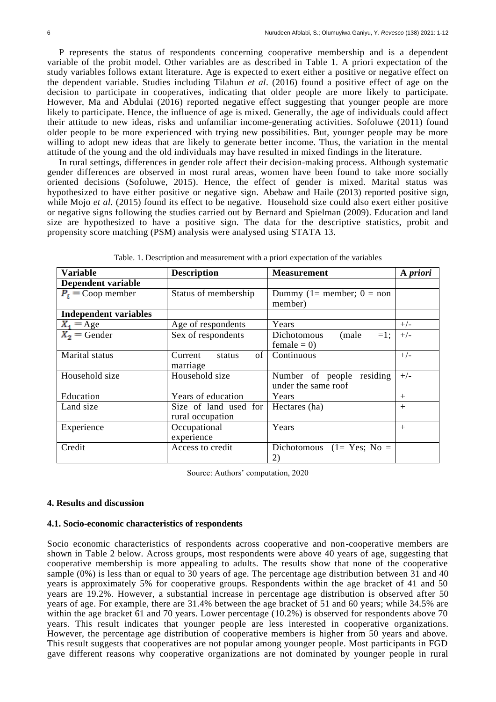P represents the status of respondents concerning cooperative membership and is a dependent variable of the probit model. Other variables are as described in Table 1. A priori expectation of the study variables follows extant literature. Age is expected to exert either a positive or negative effect on the dependent variable. Studies including Tilahun *et al*. (2016) found a positive effect of age on the decision to participate in cooperatives, indicating that older people are more likely to participate. However, Ma and Abdulai (2016) reported negative effect suggesting that younger people are more likely to participate. Hence, the influence of age is mixed. Generally, the age of individuals could affect their attitude to new ideas, risks and unfamiliar income-generating activities. Sofoluwe (2011) found older people to be more experienced with trying new possibilities. But, younger people may be more willing to adopt new ideas that are likely to generate better income. Thus, the variation in the mental attitude of the young and the old individuals may have resulted in mixed findings in the literature.

In rural settings, differences in gender role affect their decision-making process. Although systematic gender differences are observed in most rural areas, women have been found to take more socially oriented decisions (Sofoluwe, 2015). Hence, the effect of gender is mixed. Marital status was hypothesized to have either positive or negative sign. Abebaw and Haile (2013) reported positive sign, while Mojo *et al.* (2015) found its effect to be negative. Household size could also exert either positive or negative signs following the studies carried out by Bernard and Spielman (2009). Education and land size are hypothesized to have a positive sign. The data for the descriptive statistics, probit and propensity score matching (PSM) analysis were analysed using STATA 13.

| <b>Variable</b>              | <b>Description</b>                        | <b>Measurement</b>                               | A priori |
|------------------------------|-------------------------------------------|--------------------------------------------------|----------|
| Dependent variable           |                                           |                                                  |          |
| $P_i$ = Coop member          | Status of membership                      | Dummy (1= member; $0 = \text{non}$<br>member)    |          |
| <b>Independent variables</b> |                                           |                                                  |          |
| $X_1 = \text{Age}$           | Age of respondents                        | Years                                            | $+/-$    |
| $X_2$ = Gender               | Sex of respondents                        | (male<br>Dichotomous<br>$=1$ :<br>female = $0$ ) | $+/-$    |
| Marital status               | of<br>Current status<br>marriage          | Continuous                                       | $+/-$    |
| Household size               | Household size                            | Number of people residing<br>under the same roof | $+/-$    |
| Education                    | Years of education                        | Years                                            | $^{+}$   |
| Land size                    | Size of land used for<br>rural occupation | Hectares (ha)                                    | $+$      |
| Experience                   | Occupational<br>experience                | Years                                            | $^{+}$   |
| Credit                       | Access to credit                          | Dichotomous $(1=Yes; No =$<br>2)                 |          |

Table. 1. Description and measurement with a priori expectation of the variables

Source: Authors' computation, 2020

# **4. Results and discussion**

# **4.1. Socio-economic characteristics of respondents**

Socio economic characteristics of respondents across cooperative and non-cooperative members are shown in Table 2 below. Across groups, most respondents were above 40 years of age, suggesting that cooperative membership is more appealing to adults. The results show that none of the cooperative sample (0%) is less than or equal to 30 years of age. The percentage age distribution between 31 and 40 years is approximately 5% for cooperative groups. Respondents within the age bracket of 41 and 50 years are 19.2%. However, a substantial increase in percentage age distribution is observed after 50 years of age. For example, there are 31.4% between the age bracket of 51 and 60 years; while 34.5% are within the age bracket 61 and 70 years. Lower percentage (10.2%) is observed for respondents above 70 years. This result indicates that younger people are less interested in cooperative organizations. However, the percentage age distribution of cooperative members is higher from 50 years and above. This result suggests that cooperatives are not popular among younger people. Most participants in FGD gave different reasons why cooperative organizations are not dominated by younger people in rural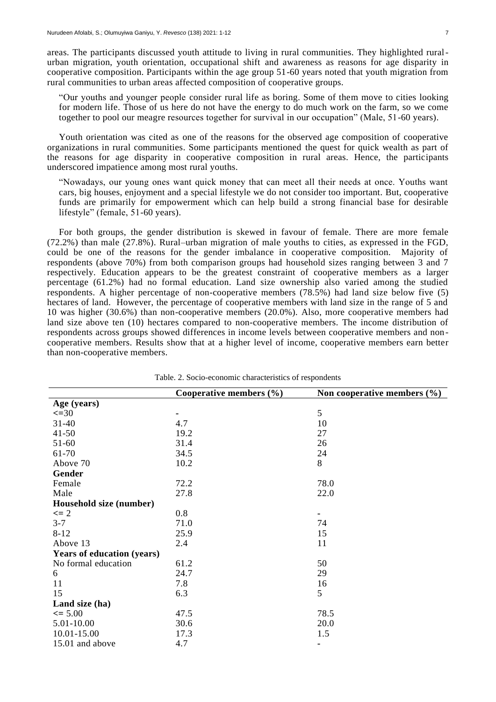areas. The participants discussed youth attitude to living in rural communities. They highlighted ruralurban migration, youth orientation, occupational shift and awareness as reasons for age disparity in cooperative composition. Participants within the age group 51-60 years noted that youth migration from rural communities to urban areas affected composition of cooperative groups.

"Our youths and younger people consider rural life as boring. Some of them move to cities looking for modern life. Those of us here do not have the energy to do much work on the farm, so we come together to pool our meagre resources together for survival in our occupation" (Male, 51-60 years).

Youth orientation was cited as one of the reasons for the observed age composition of cooperative organizations in rural communities. Some participants mentioned the quest for quick wealth as part of the reasons for age disparity in cooperative composition in rural areas. Hence, the participants underscored impatience among most rural youths.

"Nowadays, our young ones want quick money that can meet all their needs at once. Youths want cars, big houses, enjoyment and a special lifestyle we do not consider too important. But, cooperative funds are primarily for empowerment which can help build a strong financial base for desirable lifestyle" (female, 51-60 years).

For both groups, the gender distribution is skewed in favour of female. There are more female (72.2%) than male (27.8%). Rural–urban migration of male youths to cities, as expressed in the FGD, could be one of the reasons for the gender imbalance in cooperative composition. Majority of respondents (above 70%) from both comparison groups had household sizes ranging between 3 and 7 respectively. Education appears to be the greatest constraint of cooperative members as a larger percentage (61.2%) had no formal education. Land size ownership also varied among the studied respondents. A higher percentage of non-cooperative members (78.5%) had land size below five (5) hectares of land. However, the percentage of cooperative members with land size in the range of 5 and 10 was higher (30.6%) than non-cooperative members (20.0%). Also, more cooperative members had land size above ten (10) hectares compared to non-cooperative members. The income distribution of respondents across groups showed differences in income levels between cooperative members and non cooperative members. Results show that at a higher level of income, cooperative members earn better than non-cooperative members.

|                                   | Cooperative members $(\% )$ | Non cooperative members $(\% )$ |
|-----------------------------------|-----------------------------|---------------------------------|
| Age (years)                       |                             |                                 |
| $\leq 30$                         |                             | 5                               |
| $31 - 40$                         | 4.7                         | 10                              |
| $41 - 50$                         | 19.2                        | 27                              |
| $51 - 60$                         | 31.4                        | 26                              |
| 61-70                             | 34.5                        | 24                              |
| Above 70                          | 10.2                        | 8                               |
| Gender                            |                             |                                 |
| Female                            | 72.2                        | 78.0                            |
| Male                              | 27.8                        | 22.0                            |
| Household size (number)           |                             |                                 |
| $\leq$ 2                          | 0.8                         |                                 |
| $3 - 7$                           | 71.0                        | 74                              |
| $8 - 12$                          | 25.9                        | 15                              |
| Above 13                          | 2.4                         | 11                              |
| <b>Years of education (years)</b> |                             |                                 |
| No formal education               | 61.2                        | 50                              |
| 6                                 | 24.7                        | 29                              |
| 11                                | 7.8                         | 16                              |
| 15                                | 6.3                         | 5                               |
| Land size (ha)                    |                             |                                 |
| $\leq 5.00$                       | 47.5                        | 78.5                            |
| 5.01-10.00                        | 30.6                        | 20.0                            |
| 10.01-15.00                       | 17.3                        | 1.5                             |
| 15.01 and above                   | 4.7                         | ۰                               |

Table. 2. Socio-economic characteristics of respondents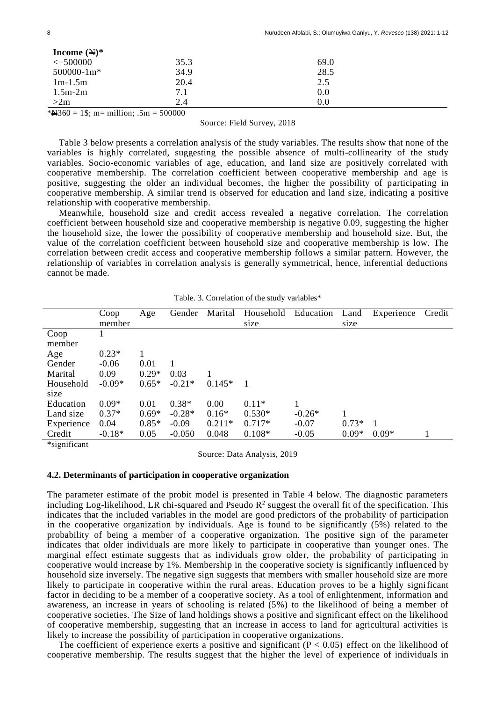| Income $(\mathbb{H})^*$                 |      |      |  |
|-----------------------------------------|------|------|--|
| $\leq 500000$                           | 35.3 | 69.0 |  |
| $500000 - 1m*$                          | 34.9 | 28.5 |  |
| $1m-1.5m$                               | 20.4 | 2.5  |  |
| $1.5m-2m$                               | 7.1  | 0.0  |  |
| >2m                                     | 2.4  | 0.0  |  |
| *N(360 = 1\\$; m= million; .5m = 500000 |      |      |  |

#### Source: Field Survey, 2018

Table 3 below presents a correlation analysis of the study variables. The results show that none of the variables is highly correlated, suggesting the possible absence of multi-collinearity of the study variables. Socio-economic variables of age, education, and land size are positively correlated with cooperative membership. The correlation coefficient between cooperative membership and age is positive, suggesting the older an individual becomes, the higher the possibility of participating in cooperative membership. A similar trend is observed for education and land size, indicating a positive relationship with cooperative membership.

Meanwhile, household size and credit access revealed a negative correlation. The correlation coefficient between household size and cooperative membership is negative 0.09, suggesting the higher the household size, the lower the possibility of cooperative membership and household size. But, the value of the correlation coefficient between household size and cooperative membership is low. The correlation between credit access and cooperative membership follows a similar pattern. However, the relationship of variables in correlation analysis is generally symmetrical, hence, inferential deductions cannot be made.

|            | Coop     | Age     | Gender   | Marital  | Household      | Education | Land    | Experience | Credit |
|------------|----------|---------|----------|----------|----------------|-----------|---------|------------|--------|
|            | member   |         |          |          | size           |           | size    |            |        |
| Coop       |          |         |          |          |                |           |         |            |        |
| member     |          |         |          |          |                |           |         |            |        |
| Age        | $0.23*$  |         |          |          |                |           |         |            |        |
| Gender     | $-0.06$  | 0.01    |          |          |                |           |         |            |        |
| Marital    | 0.09     | $0.29*$ | 0.03     |          |                |           |         |            |        |
| Household  | $-0.09*$ | $0.65*$ | $-0.21*$ | $0.145*$ | $\overline{1}$ |           |         |            |        |
| size       |          |         |          |          |                |           |         |            |        |
| Education  | $0.09*$  | 0.01    | $0.38*$  | 0.00     | $0.11*$        |           |         |            |        |
| Land size  | $0.37*$  | $0.69*$ | $-0.28*$ | $0.16*$  | $0.530*$       | $-0.26*$  |         |            |        |
| Experience | 0.04     | $0.85*$ | $-0.09$  | $0.211*$ | $0.717*$       | $-0.07$   | $0.73*$ |            |        |
| Credit     | $-0.18*$ | 0.05    | $-0.050$ | 0.048    | $0.108*$       | $-0.05$   | $0.09*$ | $0.09*$    |        |

|  | Table. 3. Correlation of the study variables* |  |  |  |
|--|-----------------------------------------------|--|--|--|
|--|-----------------------------------------------|--|--|--|

\*significant

Source: Data Analysis, 2019

#### **4.2. Determinants of participation in cooperative organization**

The parameter estimate of the probit model is presented in Table 4 below. The diagnostic parameters including Log-likelihood, LR chi-squared and Pseudo  $R^2$  suggest the overall fit of the specification. This indicates that the included variables in the model are good predictors of the probability of participation in the cooperative organization by individuals. Age is found to be significantly (5%) related to the probability of being a member of a cooperative organization. The positive sign of the parameter indicates that older individuals are more likely to participate in cooperative than younger ones. The marginal effect estimate suggests that as individuals grow older, the probability of participating in cooperative would increase by 1%. Membership in the cooperative society is significantly influenced by household size inversely. The negative sign suggests that members with smaller household size are more likely to participate in cooperative within the rural areas. Education proves to be a highly significant factor in deciding to be a member of a cooperative society. As a tool of enlightenment, information and awareness, an increase in years of schooling is related (5%) to the likelihood of being a member of cooperative societies. The Size of land holdings shows a positive and significant effect on the likelihood of cooperative membership, suggesting that an increase in access to land for agricultural activities is likely to increase the possibility of participation in cooperative organizations.

The coefficient of experience exerts a positive and significant  $(P < 0.05)$  effect on the likelihood of cooperative membership. The results suggest that the higher the level of experience of individuals in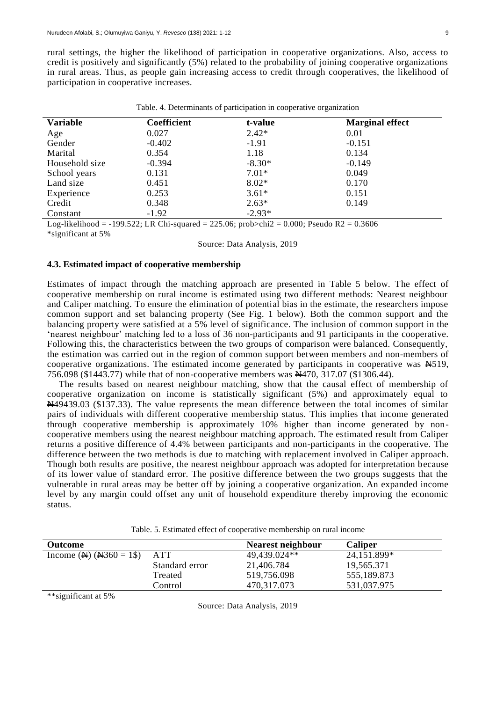rural settings, the higher the likelihood of participation in cooperative organizations. Also, access to credit is positively and significantly (5%) related to the probability of joining cooperative organizations in rural areas. Thus, as people gain increasing access to credit through cooperatives, the likelihood of participation in cooperative increases.

| <b>Variable</b> | Coefficient | t-value  | <b>Marginal effect</b> |
|-----------------|-------------|----------|------------------------|
| Age             | 0.027       | $2.42*$  | 0.01                   |
| Gender          | $-0.402$    | $-1.91$  | $-0.151$               |
| Marital         | 0.354       | 1.18     | 0.134                  |
| Household size  | $-0.394$    | $-8.30*$ | $-0.149$               |
| School years    | 0.131       | $7.01*$  | 0.049                  |
| Land size       | 0.451       | $8.02*$  | 0.170                  |
| Experience      | 0.253       | $3.61*$  | 0.151                  |
| Credit          | 0.348       | $2.63*$  | 0.149                  |
| Constant        | $-1.92$     | $-2.93*$ |                        |

Table. 4. Determinants of participation in cooperative organization

Log-likelihood =  $-199.522$ ; LR Chi-squared = 225.06; prob>chi2 = 0.000; Pseudo R2 = 0.3606 \*significant at 5%

Source: Data Analysis, 2019

# **4.3. Estimated impact of cooperative membership**

Estimates of impact through the matching approach are presented in Table 5 below. The effect of cooperative membership on rural income is estimated using two different methods: Nearest neighbour and Caliper matching. To ensure the elimination of potential bias in the estimate, the researchers impose common support and set balancing property (See Fig. 1 below). Both the common support and the balancing property were satisfied at a 5% level of significance. The inclusion of common support in the 'nearest neighbour' matching led to a loss of 36 non-participants and 91 participants in the cooperative. Following this, the characteristics between the two groups of comparison were balanced. Consequently, the estimation was carried out in the region of common support between members and non-members of cooperative organizations. The estimated income generated by participants in cooperative was  $\text{\#}519$ , 756.098 (\$1443.77) while that of non-cooperative members was N470, 317.07 (\$1306.44).

The results based on nearest neighbour matching, show that the causal effect of membership of cooperative organization on income is statistically significant (5%) and approximately equal to N49439.03 (\$137.33). The value represents the mean difference between the total incomes of similar pairs of individuals with different cooperative membership status. This implies that income generated through cooperative membership is approximately 10% higher than income generated by noncooperative members using the nearest neighbour matching approach. The estimated result from Caliper returns a positive difference of 4.4% between participants and non-participants in the cooperative. The difference between the two methods is due to matching with replacement involved in Caliper approach. Though both results are positive, the nearest neighbour approach was adopted for interpretation because of its lower value of standard error. The positive difference between the two groups suggests that the vulnerable in rural areas may be better off by joining a cooperative organization. An expanded income level by any margin could offset any unit of household expenditure thereby improving the economic status.

| <b>Outcome</b>                                    |                | Nearest neighbour | <b>Caliper</b> |
|---------------------------------------------------|----------------|-------------------|----------------|
| Income ( $\mathbf{N}$ ) ( $\mathbf{N}$ 360 = 1\$) | ATT            | 49,439.024**      | 24,151.899*    |
|                                                   | Standard error | 21,406.784        | 19,565.371     |
|                                                   | Treated        | 519,756.098       | 555,189.873    |
|                                                   | Control        | 470,317.073       | 531,037.975    |
| $\omega \omega$ . The second state $\omega$       |                |                   |                |

Table. 5. Estimated effect of cooperative membership on rural income

\*\*significant at 5%

Source: Data Analysis, 2019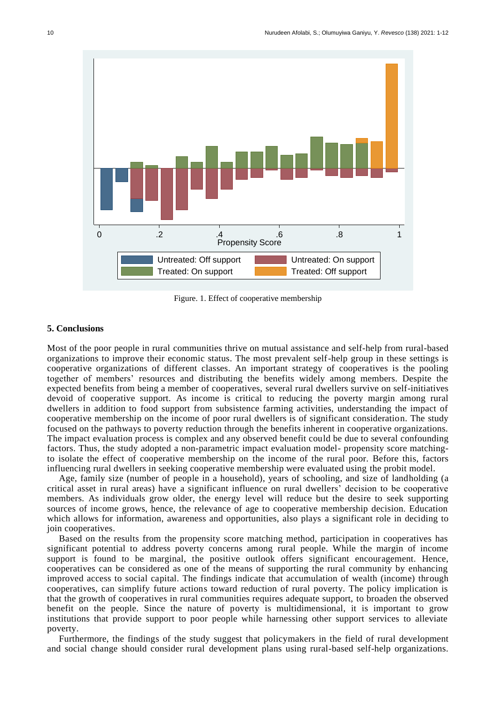

Figure. 1. Effect of cooperative membership

# **5. Conclusions**

Most of the poor people in rural communities thrive on mutual assistance and self-help from rural-based organizations to improve their economic status. The most prevalent self-help group in these settings is cooperative organizations of different classes. An important strategy of cooperatives is the pooling together of members' resources and distributing the benefits widely among members. Despite the expected benefits from being a member of cooperatives, several rural dwellers survive on self-initiatives devoid of cooperative support. As income is critical to reducing the poverty margin among rural dwellers in addition to food support from subsistence farming activities, understanding the impact of cooperative membership on the income of poor rural dwellers is of significant consideration. The study focused on the pathways to poverty reduction through the benefits inherent in cooperative organizations. The impact evaluation process is complex and any observed benefit could be due to several confounding factors. Thus, the study adopted a non-parametric impact evaluation model- propensity score matchingto isolate the effect of cooperative membership on the income of the rural poor. Before this, factors influencing rural dwellers in seeking cooperative membership were evaluated using the probit model.

Age, family size (number of people in a household), years of schooling, and size of landholding (a critical asset in rural areas) have a significant influence on rural dwellers' decision to be cooperative members. As individuals grow older, the energy level will reduce but the desire to seek supporting sources of income grows, hence, the relevance of age to cooperative membership decision. Education which allows for information, awareness and opportunities, also plays a significant role in deciding to join cooperatives.

Based on the results from the propensity score matching method, participation in cooperatives has significant potential to address poverty concerns among rural people. While the margin of income support is found to be marginal, the positive outlook offers significant encouragement. Hence, cooperatives can be considered as one of the means of supporting the rural community by enhancing improved access to social capital. The findings indicate that accumulation of wealth (income) through cooperatives, can simplify future actions toward reduction of rural poverty. The policy implication is that the growth of cooperatives in rural communities requires adequate support, to broaden the observed benefit on the people. Since the nature of poverty is multidimensional, it is important to grow institutions that provide support to poor people while harnessing other support services to alleviate poverty.

Furthermore, the findings of the study suggest that policymakers in the field of rural development and social change should consider rural development plans using rural-based self-help organizations.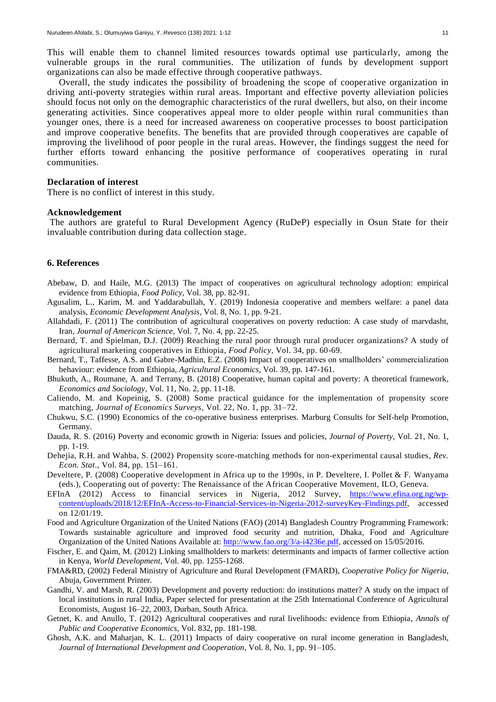Overall, the study indicates the possibility of broadening the scope of cooperative organization in driving anti-poverty strategies within rural areas. Important and effective poverty alleviation policies should focus not only on the demographic characteristics of the rural dwellers, but also, on their income generating activities. Since cooperatives appeal more to older people within rural communities than younger ones, there is a need for increased awareness on cooperative processes to boost participation and improve cooperative benefits. The benefits that are provided through cooperatives are capable of improving the livelihood of poor people in the rural areas. However, the findings suggest the need for further efforts toward enhancing the positive performance of cooperatives operating in rural communities.

#### **Declaration of interest**

There is no conflict of interest in this study.

#### **Acknowledgement**

The authors are grateful to Rural Development Agency (RuDeP) especially in Osun State for their invaluable contribution during data collection stage.

#### **6. References**

- Abebaw, D. and Haile, M.G. (2013) The impact of cooperatives on agricultural technology adoption: empirical evidence from Ethiopia, *Food Policy,* Vol. 38, pp. 82-91.
- Agusalim, L., Karim, M. and Yaddarabullah, Y. (2019) Indonesia cooperative and members welfare: a panel data analysis, *Economic Development Analysis*, Vol. 8, No. 1, pp. 9-21.
- Allahdadi, F. (2011) The contribution of agricultural cooperatives on poverty reduction: A case study of marvdasht, Iran, *Journal of American Science*, Vol. 7, No. 4, pp. 22-25.
- Bernard, T. and Spielman, D.J. (2009) Reaching the rural poor through rural producer organizations? A study of agricultural marketing cooperatives in Ethiopia, *Food Policy*, Vol. 34, pp. 60-69.
- Bernard, T., Taffesse, A.S. and Gabre-Madhin, E.Z. (2008) Impact of cooperatives on smallholders' commercialization behaviour: evidence from Ethiopia, *Agricultural Economics*, Vol. 39, pp. 147-161.
- Bhukuth, A., Roumane, A. and Terrany, B. (2018) Cooperative, human capital and poverty: A theoretical framework, *Economics and Sociology*, Vol. 11, No. 2, pp. 11-18.
- Caliendo, M. and Kopeinig, S. (2008) Some practical guidance for the implementation of propensity score matching, *Journal of Economics Surveys*, Vol. 22, No. 1, pp. 31–72.
- Chukwu, S.C. (1990) Economics of the co-operative business enterprises. Marburg Consults for Self-help Promotion, Germany.
- Dauda, R. S. (2016) Poverty and economic growth in Nigeria: Issues and policies, *Journal of Poverty*, Vol. 21, No. 1, pp. 1-19.
- Dehejia, R.H. and Wahba, S. (2002) Propensity score-matching methods for non-experimental causal studies, *Rev. Econ. Stat*., Vol. 84, pp. 151–161.
- Develtere, P. (2008) Cooperative development in Africa up to the 1990s, in P. Develtere, I. Pollet & F. Wanyama (eds.), Cooperating out of poverty: The Renaissance of the African Cooperative Movement, ILO, Geneva.
- EFInA (2012) Access to financial services in Nigeria, 2012 Survey, [https://www.efina.org.ng/wp](https://www.efina.org.ng/wp-content/uploads/2018/12/EFInA-Access-to-Financial-Services-in-Nigeria-2012-surveyKey-Findings.pdf)[content/uploads/2018/12/EFInA-Access-to-Financial-Services-in-Nigeria-2012-surveyKey-Findings.pdf,](https://www.efina.org.ng/wp-content/uploads/2018/12/EFInA-Access-to-Financial-Services-in-Nigeria-2012-surveyKey-Findings.pdf) accessed on 12/01/19.
- Food and Agriculture Organization of the United Nations (FAO) (2014) Bangladesh Country Programming Framework: Towards sustainable agriculture and improved food security and nutrition, Dhaka, Food and Agriculture Organization of the United Nations Available at: [http://www.fao.org/3/a-i4236e.pdf,](http://www.fao.org/3/a-i4236e.pdf) accessed on 15/05/2016.
- Fischer, E. and Qaim, M. (2012) Linking smallholders to markets: determinants and impacts of farmer collective action in Kenya, *World Development*, Vol. 40, pp. 1255-1268.
- FMA&RD, (2002) Federal Ministry of Agriculture and Rural Development (FMARD), *Cooperative Policy for Nigeria*, Abuja, Government Printer.
- Gandhi, V. and Marsh, R. (2003) Development and poverty reduction: do institutions matter? A study on the impact of local institutions in rural India, Paper selected for presentation at the 25th International Conference of Agricultural Economists, August 16–22, 2003, Durban, South Africa.
- Getnet, K. and Anullo, T. (2012) Agricultural cooperatives and rural livelihoods: evidence from Ethiopia, *Annals of Public and Cooperative Economics,* Vol. 832, pp. 181-198.
- Ghosh, A.K. and Maharjan, K. L. (2011) Impacts of dairy cooperative on rural income generation in Bangladesh, *Journal of International Development and Cooperation*, Vol. 8, No. 1, pp. 91–105.